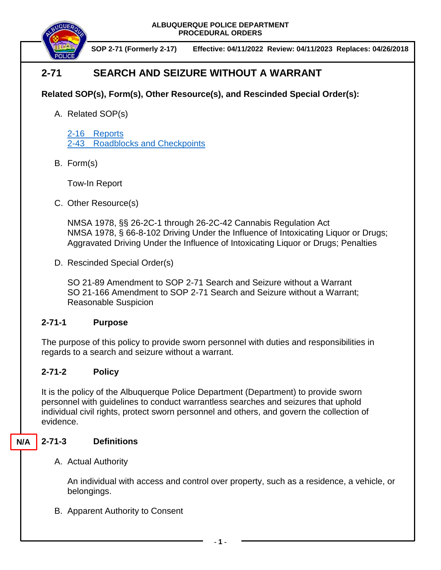

**SOP 2-71 (Formerly 2-17) Effective: 04/11/2022 Review: 04/11/2023 Replaces: 04/26/2018**

# **2-71 SEARCH AND SEIZURE WITHOUT A WARRANT**

# **Related SOP(s), Form(s), Other Resource(s), and Rescinded Special Order(s):**

A. Related SOP(s)

2-16 [Reports](https://powerdms.com/docs/19?q=2-16) 2-43 [Roadblocks and Checkpoints](https://powerdms.com/docs/1854663?q=2-43)

B. Form(s)

Tow-In Report

C. Other Resource(s)

NMSA 1978, §§ 26-2C-1 through 26-2C-42 Cannabis Regulation Act NMSA 1978, § 66-8-102 Driving Under the Influence of Intoxicating Liquor or Drugs; Aggravated Driving Under the Influence of Intoxicating Liquor or Drugs; Penalties

D. Rescinded Special Order(s)

SO 21-89 Amendment to SOP 2-71 Search and Seizure without a Warrant SO 21-166 Amendment to SOP 2-71 Search and Seizure without a Warrant; Reasonable Suspicion

# **2-71-1 Purpose**

The purpose of this policy to provide sworn personnel with duties and responsibilities in regards to a search and seizure without a warrant.

# **2-71-2 Policy**

It is the policy of the Albuquerque Police Department (Department) to provide sworn personnel with guidelines to conduct warrantless searches and seizures that uphold individual civil rights, protect sworn personnel and others, and govern the collection of evidence.

#### **2-71-3 Definitions N/A**

A. Actual Authority

An individual with access and control over property, such as a residence, a vehicle, or belongings.

B. Apparent Authority to Consent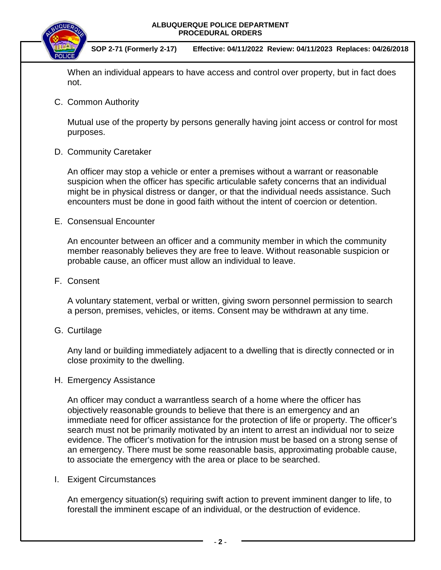

**SOP 2-71 (Formerly 2-17) Effective: 04/11/2022 Review: 04/11/2023 Replaces: 04/26/2018**

When an individual appears to have access and control over property, but in fact does not.

C. Common Authority

Mutual use of the property by persons generally having joint access or control for most purposes.

D. Community Caretaker

An officer may stop a vehicle or enter a premises without a warrant or reasonable suspicion when the officer has specific articulable safety concerns that an individual might be in physical distress or danger, or that the individual needs assistance. Such encounters must be done in good faith without the intent of coercion or detention.

E. Consensual Encounter

An encounter between an officer and a community member in which the community member reasonably believes they are free to leave. Without reasonable suspicion or probable cause, an officer must allow an individual to leave.

F. Consent

A voluntary statement, verbal or written, giving sworn personnel permission to search a person, premises, vehicles, or items. Consent may be withdrawn at any time.

G. Curtilage

Any land or building immediately adjacent to a dwelling that is directly connected or in close proximity to the dwelling.

H. Emergency Assistance

An officer may conduct a warrantless search of a home where the officer has objectively reasonable grounds to believe that there is an emergency and an immediate need for officer assistance for the protection of life or property. The officer's search must not be primarily motivated by an intent to arrest an individual nor to seize evidence. The officer's motivation for the intrusion must be based on a strong sense of an emergency. There must be some reasonable basis, approximating probable cause, to associate the emergency with the area or place to be searched.

I. Exigent Circumstances

An emergency situation(s) requiring swift action to prevent imminent danger to life, to forestall the imminent escape of an individual, or the destruction of evidence.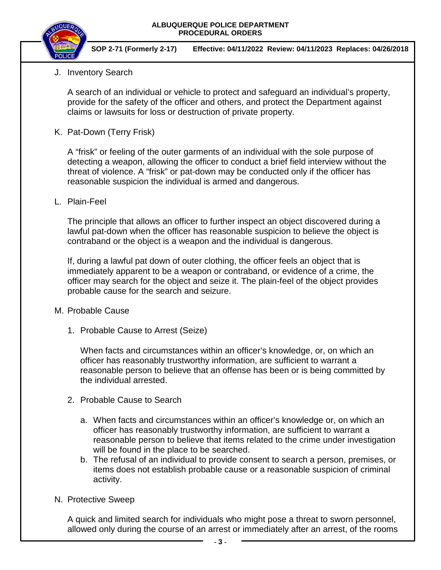

**SOP 2-71 (Formerly 2-17) Effective: 04/11/2022 Review: 04/11/2023 Replaces: 04/26/2018**

# J. Inventory Search

A search of an individual or vehicle to protect and safeguard an individual's property, provide for the safety of the officer and others, and protect the Department against claims or lawsuits for loss or destruction of private property.

K. Pat-Down (Terry Frisk)

A "frisk" or feeling of the outer garments of an individual with the sole purpose of detecting a weapon, allowing the officer to conduct a brief field interview without the threat of violence. A "frisk" or pat-down may be conducted only if the officer has reasonable suspicion the individual is armed and dangerous.

L. Plain-Feel

The principle that allows an officer to further inspect an object discovered during a lawful pat-down when the officer has reasonable suspicion to believe the object is contraband or the object is a weapon and the individual is dangerous.

If, during a lawful pat down of outer clothing, the officer feels an object that is immediately apparent to be a weapon or contraband, or evidence of a crime, the officer may search for the object and seize it. The plain-feel of the object provides probable cause for the search and seizure.

## M. Probable Cause

1. Probable Cause to Arrest (Seize)

When facts and circumstances within an officer's knowledge, or, on which an officer has reasonably trustworthy information, are sufficient to warrant a reasonable person to believe that an offense has been or is being committed by the individual arrested.

- 2. Probable Cause to Search
	- a. When facts and circumstances within an officer's knowledge or, on which an officer has reasonably trustworthy information, are sufficient to warrant a reasonable person to believe that items related to the crime under investigation will be found in the place to be searched.
	- b. The refusal of an individual to provide consent to search a person, premises, or items does not establish probable cause or a reasonable suspicion of criminal activity.
- N. Protective Sweep

A quick and limited search for individuals who might pose a threat to sworn personnel, allowed only during the course of an arrest or immediately after an arrest, of the rooms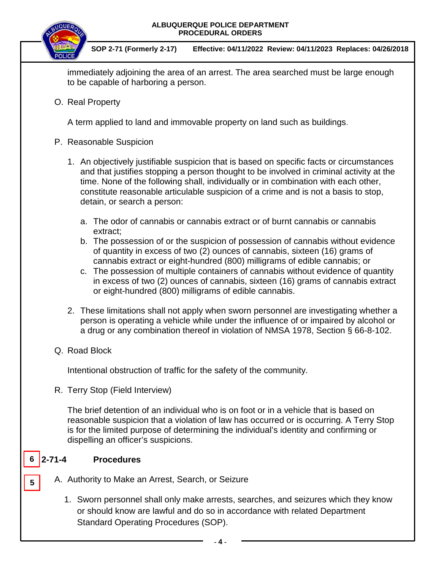



**SOP 2-71 (Formerly 2-17) Effective: 04/11/2022 Review: 04/11/2023 Replaces: 04/26/2018**

immediately adjoining the area of an arrest. The area searched must be large enough to be capable of harboring a person.

O. Real Property

A term applied to land and immovable property on land such as buildings.

- P. Reasonable Suspicion
	- 1. An objectively justifiable suspicion that is based on specific facts or circumstances and that justifies stopping a person thought to be involved in criminal activity at the time. None of the following shall, individually or in combination with each other, constitute reasonable articulable suspicion of a crime and is not a basis to stop, detain, or search a person:
		- a. The odor of cannabis or cannabis extract or of burnt cannabis or cannabis extract;
		- b. The possession of or the suspicion of possession of cannabis without evidence of quantity in excess of two (2) ounces of cannabis, sixteen (16) grams of cannabis extract or eight-hundred (800) milligrams of edible cannabis; or
		- c. The possession of multiple containers of cannabis without evidence of quantity in excess of two (2) ounces of cannabis, sixteen (16) grams of cannabis extract or eight-hundred (800) milligrams of edible cannabis.
	- 2. These limitations shall not apply when sworn personnel are investigating whether a person is operating a vehicle while under the influence of or impaired by alcohol or a drug or any combination thereof in violation of NMSA 1978, Section § 66-8-102.
- Q. Road Block

Intentional obstruction of traffic for the safety of the community.

R. Terry Stop (Field Interview)

The brief detention of an individual who is on foot or in a vehicle that is based on reasonable suspicion that a violation of law has occurred or is occurring. A Terry Stop is for the limited purpose of determining the individual's identity and confirming or dispelling an officer's suspicions.

#### **2-71-4 Procedures**  $6 \overline{)2 - 71 - 4}$

**5**

- A. Authority to Make an Arrest, Search, or Seizure
	- 1. Sworn personnel shall only make arrests, searches, and seizures which they know or should know are lawful and do so in accordance with related Department Standard Operating Procedures (SOP).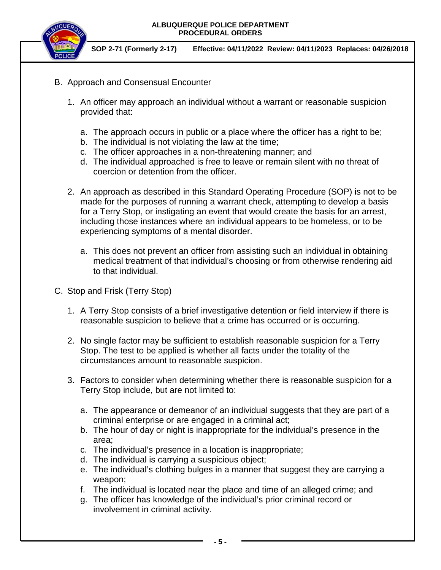

**SOP 2-71 (Formerly 2-17) Effective: 04/11/2022 Review: 04/11/2023 Replaces: 04/26/2018**

- B. Approach and Consensual Encounter
	- 1. An officer may approach an individual without a warrant or reasonable suspicion provided that:
		- a. The approach occurs in public or a place where the officer has a right to be;
		- b. The individual is not violating the law at the time;
		- c. The officer approaches in a non-threatening manner; and
		- d. The individual approached is free to leave or remain silent with no threat of coercion or detention from the officer.
	- 2. An approach as described in this Standard Operating Procedure (SOP) is not to be made for the purposes of running a warrant check, attempting to develop a basis for a Terry Stop, or instigating an event that would create the basis for an arrest, including those instances where an individual appears to be homeless, or to be experiencing symptoms of a mental disorder.
		- a. This does not prevent an officer from assisting such an individual in obtaining medical treatment of that individual's choosing or from otherwise rendering aid to that individual.
- C. Stop and Frisk (Terry Stop)
	- 1. A Terry Stop consists of a brief investigative detention or field interview if there is reasonable suspicion to believe that a crime has occurred or is occurring.
	- 2. No single factor may be sufficient to establish reasonable suspicion for a Terry Stop. The test to be applied is whether all facts under the totality of the circumstances amount to reasonable suspicion.
	- 3. Factors to consider when determining whether there is reasonable suspicion for a Terry Stop include, but are not limited to:
		- a. The appearance or demeanor of an individual suggests that they are part of a criminal enterprise or are engaged in a criminal act;
		- b. The hour of day or night is inappropriate for the individual's presence in the area;
		- c. The individual's presence in a location is inappropriate;
		- d. The individual is carrying a suspicious object;
		- e. The individual's clothing bulges in a manner that suggest they are carrying a weapon;
		- f. The individual is located near the place and time of an alleged crime; and
		- g. The officer has knowledge of the individual's prior criminal record or involvement in criminal activity.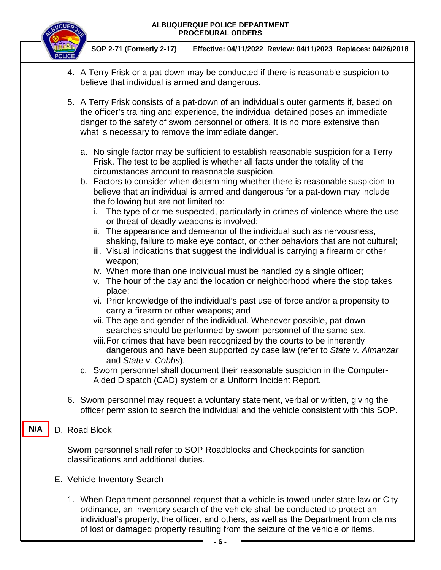

**SOP 2-71 (Formerly 2-17) Effective: 04/11/2022 Review: 04/11/2023 Replaces: 04/26/2018**

- 4. A Terry Frisk or a pat-down may be conducted if there is reasonable suspicion to believe that individual is armed and dangerous.
- 5. A Terry Frisk consists of a pat-down of an individual's outer garments if, based on the officer's training and experience, the individual detained poses an immediate danger to the safety of sworn personnel or others. It is no more extensive than what is necessary to remove the immediate danger.
	- a. No single factor may be sufficient to establish reasonable suspicion for a Terry Frisk. The test to be applied is whether all facts under the totality of the circumstances amount to reasonable suspicion.
	- b. Factors to consider when determining whether there is reasonable suspicion to believe that an individual is armed and dangerous for a pat-down may include the following but are not limited to:
		- i. The type of crime suspected, particularly in crimes of violence where the use or threat of deadly weapons is involved;
		- ii. The appearance and demeanor of the individual such as nervousness, shaking, failure to make eye contact, or other behaviors that are not cultural;
		- iii. Visual indications that suggest the individual is carrying a firearm or other weapon;
		- iv. When more than one individual must be handled by a single officer;
		- v. The hour of the day and the location or neighborhood where the stop takes place;
		- vi. Prior knowledge of the individual's past use of force and/or a propensity to carry a firearm or other weapons; and
		- vii. The age and gender of the individual. Whenever possible, pat-down searches should be performed by sworn personnel of the same sex.
		- viii.For crimes that have been recognized by the courts to be inherently dangerous and have been supported by case law (refer to *State v. Almanzar* and *State v. Cobbs*).
	- c. Sworn personnel shall document their reasonable suspicion in the Computer-Aided Dispatch (CAD) system or a Uniform Incident Report.
- 6. Sworn personnel may request a voluntary statement, verbal or written, giving the officer permission to search the individual and the vehicle consistent with this SOP.
- D. Road Block **N/A**

Sworn personnel shall refer to SOP Roadblocks and Checkpoints for sanction classifications and additional duties.

- E. Vehicle Inventory Search
	- 1. When Department personnel request that a vehicle is towed under state law or City ordinance, an inventory search of the vehicle shall be conducted to protect an individual's property, the officer, and others, as well as the Department from claims of lost or damaged property resulting from the seizure of the vehicle or items.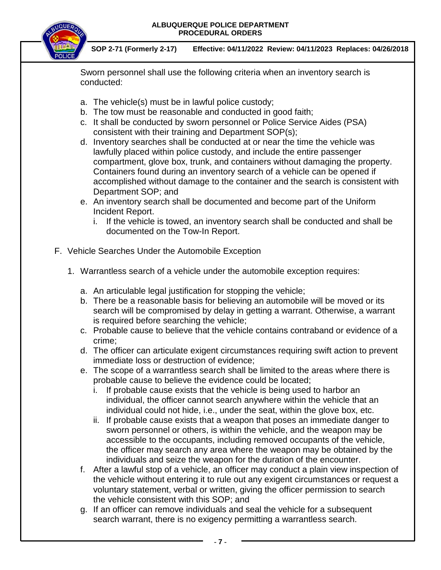

**SOP 2-71 (Formerly 2-17) Effective: 04/11/2022 Review: 04/11/2023 Replaces: 04/26/2018**

Sworn personnel shall use the following criteria when an inventory search is conducted:

- a. The vehicle(s) must be in lawful police custody;
- b. The tow must be reasonable and conducted in good faith;
- c. It shall be conducted by sworn personnel or Police Service Aides (PSA) consistent with their training and Department SOP(s);
- d. Inventory searches shall be conducted at or near the time the vehicle was lawfully placed within police custody, and include the entire passenger compartment, glove box, trunk, and containers without damaging the property. Containers found during an inventory search of a vehicle can be opened if accomplished without damage to the container and the search is consistent with Department SOP; and
- e. An inventory search shall be documented and become part of the Uniform Incident Report.
	- i. If the vehicle is towed, an inventory search shall be conducted and shall be documented on the Tow-In Report.
- F. Vehicle Searches Under the Automobile Exception
	- 1. Warrantless search of a vehicle under the automobile exception requires:
		- a. An articulable legal justification for stopping the vehicle;
		- b. There be a reasonable basis for believing an automobile will be moved or its search will be compromised by delay in getting a warrant. Otherwise, a warrant is required before searching the vehicle;
		- c. Probable cause to believe that the vehicle contains contraband or evidence of a crime;
		- d. The officer can articulate exigent circumstances requiring swift action to prevent immediate loss or destruction of evidence;
		- e. The scope of a warrantless search shall be limited to the areas where there is probable cause to believe the evidence could be located;
			- i. If probable cause exists that the vehicle is being used to harbor an individual, the officer cannot search anywhere within the vehicle that an individual could not hide, i.e., under the seat, within the glove box, etc.
			- ii. If probable cause exists that a weapon that poses an immediate danger to sworn personnel or others, is within the vehicle, and the weapon may be accessible to the occupants, including removed occupants of the vehicle, the officer may search any area where the weapon may be obtained by the individuals and seize the weapon for the duration of the encounter.
		- f. After a lawful stop of a vehicle, an officer may conduct a plain view inspection of the vehicle without entering it to rule out any exigent circumstances or request a voluntary statement, verbal or written, giving the officer permission to search the vehicle consistent with this SOP; and
		- g. If an officer can remove individuals and seal the vehicle for a subsequent search warrant, there is no exigency permitting a warrantless search.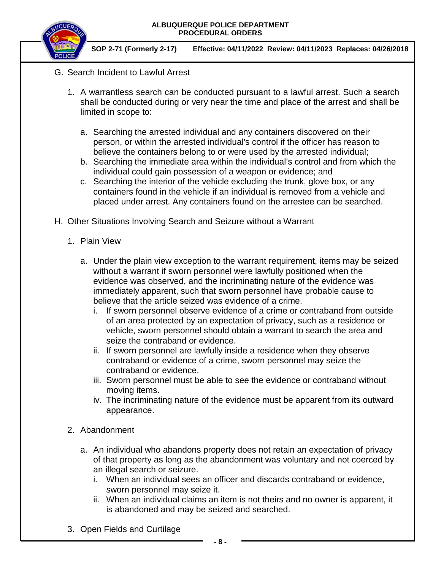

**SOP 2-71 (Formerly 2-17) Effective: 04/11/2022 Review: 04/11/2023 Replaces: 04/26/2018**

- G. Search Incident to Lawful Arrest
	- 1. A warrantless search can be conducted pursuant to a lawful arrest. Such a search shall be conducted during or very near the time and place of the arrest and shall be limited in scope to:
		- a. Searching the arrested individual and any containers discovered on their person, or within the arrested individual's control if the officer has reason to believe the containers belong to or were used by the arrested individual;
		- b. Searching the immediate area within the individual's control and from which the individual could gain possession of a weapon or evidence; and
		- c. Searching the interior of the vehicle excluding the trunk, glove box, or any containers found in the vehicle if an individual is removed from a vehicle and placed under arrest. Any containers found on the arrestee can be searched.
- H. Other Situations Involving Search and Seizure without a Warrant
	- 1. Plain View
		- a. Under the plain view exception to the warrant requirement, items may be seized without a warrant if sworn personnel were lawfully positioned when the evidence was observed, and the incriminating nature of the evidence was immediately apparent, such that sworn personnel have probable cause to believe that the article seized was evidence of a crime.
			- i. If sworn personnel observe evidence of a crime or contraband from outside of an area protected by an expectation of privacy, such as a residence or vehicle, sworn personnel should obtain a warrant to search the area and seize the contraband or evidence.
			- ii. If sworn personnel are lawfully inside a residence when they observe contraband or evidence of a crime, sworn personnel may seize the contraband or evidence.
			- iii. Sworn personnel must be able to see the evidence or contraband without moving items.
			- iv. The incriminating nature of the evidence must be apparent from its outward appearance.
	- 2. Abandonment
		- a. An individual who abandons property does not retain an expectation of privacy of that property as long as the abandonment was voluntary and not coerced by an illegal search or seizure.
			- i. When an individual sees an officer and discards contraband or evidence, sworn personnel may seize it.
			- ii. When an individual claims an item is not theirs and no owner is apparent, it is abandoned and may be seized and searched.
	- 3. Open Fields and Curtilage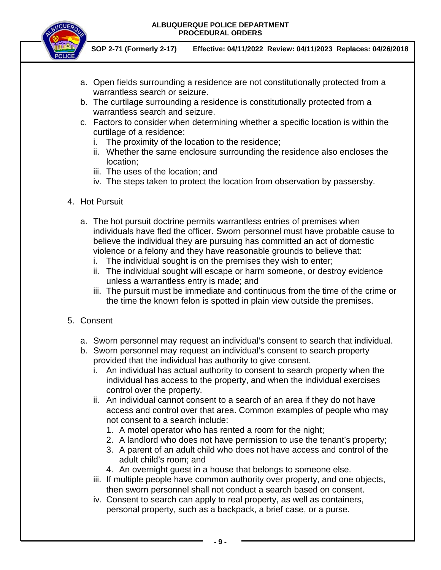

**SOP 2-71 (Formerly 2-17) Effective: 04/11/2022 Review: 04/11/2023 Replaces: 04/26/2018**

- a. Open fields surrounding a residence are not constitutionally protected from a warrantless search or seizure.
- b. The curtilage surrounding a residence is constitutionally protected from a warrantless search and seizure.
- c. Factors to consider when determining whether a specific location is within the curtilage of a residence:
	- i. The proximity of the location to the residence;
	- ii. Whether the same enclosure surrounding the residence also encloses the location;
	- iii. The uses of the location; and
	- iv. The steps taken to protect the location from observation by passersby.
- 4. Hot Pursuit
	- a. The hot pursuit doctrine permits warrantless entries of premises when individuals have fled the officer. Sworn personnel must have probable cause to believe the individual they are pursuing has committed an act of domestic violence or a felony and they have reasonable grounds to believe that:
		- i. The individual sought is on the premises they wish to enter;
		- ii. The individual sought will escape or harm someone, or destroy evidence unless a warrantless entry is made; and
		- iii. The pursuit must be immediate and continuous from the time of the crime or the time the known felon is spotted in plain view outside the premises.
- 5. Consent
	- a. Sworn personnel may request an individual's consent to search that individual.
	- b. Sworn personnel may request an individual's consent to search property provided that the individual has authority to give consent.
		- i. An individual has actual authority to consent to search property when the individual has access to the property, and when the individual exercises control over the property.
		- ii. An individual cannot consent to a search of an area if they do not have access and control over that area. Common examples of people who may not consent to a search include:
			- 1. A motel operator who has rented a room for the night;
			- 2. A landlord who does not have permission to use the tenant's property;
			- 3. A parent of an adult child who does not have access and control of the adult child's room; and
			- 4. An overnight guest in a house that belongs to someone else.
		- iii. If multiple people have common authority over property, and one objects, then sworn personnel shall not conduct a search based on consent.
		- iv. Consent to search can apply to real property, as well as containers, personal property, such as a backpack, a brief case, or a purse.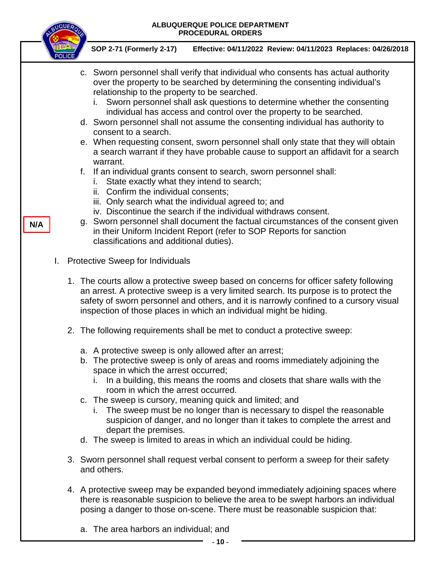